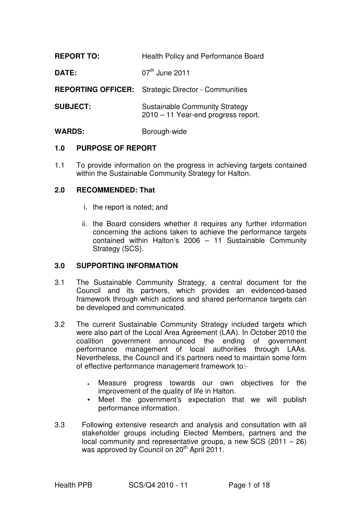| <b>REPORT TO:</b>         | Health Policy and Performance Board                                          |
|---------------------------|------------------------------------------------------------------------------|
| DATE:                     | $07th$ June 2011                                                             |
| <b>REPORTING OFFICER:</b> | <b>Strategic Director - Communities</b>                                      |
| <b>SUBJECT:</b>           | <b>Sustainable Community Strategy</b><br>2010 - 11 Year-end progress report. |
| <b>WARDS:</b>             | Borough-wide                                                                 |

#### **1.0 PURPOSE OF REPORT**

1.1 To provide information on the progress in achieving targets contained within the Sustainable Community Strategy for Halton.

#### **2.0 RECOMMENDED: That**

- i. the report is noted; and
- ii. the Board considers whether it requires any further information concerning the actions taken to achieve the performance targets contained within Halton's 2006 – 11 Sustainable Community Strategy (SCS).

#### **3.0 SUPPORTING INFORMATION**

- 3.1 The Sustainable Community Strategy, a central document for the Council and its partners, which provides an evidenced-based framework through which actions and shared performance targets can be developed and communicated.
- 3.2 The current Sustainable Community Strategy included targets which were also part of the Local Area Agreement (LAA). In October 2010 the coalition government announced the ending of government performance management of local authorities through LAAs. Nevertheless, the Council and it's partners need to maintain some form of effective performance management framework to:-
	- Measure progress towards our own objectives for the improvement of the quality of life in Halton.
	- Meet the government's expectation that we will publish performance information.
- 3.3 Following extensive research and analysis and consultation with all stakeholder groups including Elected Members, partners and the local community and representative groups, a new SCS (2011 – 26) was approved by Council on 20<sup>th</sup> April 2011.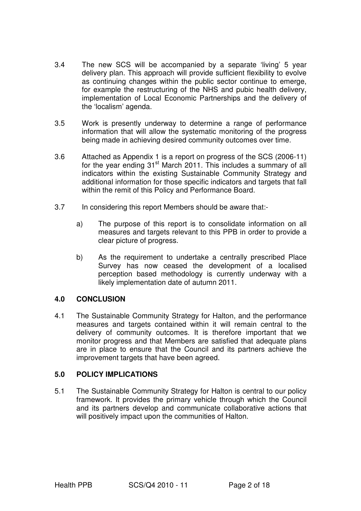- 3.4 The new SCS will be accompanied by a separate 'living' 5 year delivery plan. This approach will provide sufficient flexibility to evolve as continuing changes within the public sector continue to emerge, for example the restructuring of the NHS and pubic health delivery, implementation of Local Economic Partnerships and the delivery of the 'localism' agenda.
- 3.5 Work is presently underway to determine a range of performance information that will allow the systematic monitoring of the progress being made in achieving desired community outcomes over time.
- 3.6 Attached as Appendix 1 is a report on progress of the SCS (2006-11) for the year ending  $31<sup>st</sup>$  March 2011. This includes a summary of all indicators within the existing Sustainable Community Strategy and additional information for those specific indicators and targets that fall within the remit of this Policy and Performance Board.
- 3.7 In considering this report Members should be aware that:
	- a) The purpose of this report is to consolidate information on all measures and targets relevant to this PPB in order to provide a clear picture of progress.
	- b) As the requirement to undertake a centrally prescribed Place Survey has now ceased the development of a localised perception based methodology is currently underway with a likely implementation date of autumn 2011.

#### **4.0 CONCLUSION**

4.1 The Sustainable Community Strategy for Halton, and the performance measures and targets contained within it will remain central to the delivery of community outcomes. It is therefore important that we monitor progress and that Members are satisfied that adequate plans are in place to ensure that the Council and its partners achieve the improvement targets that have been agreed.

#### **5.0 POLICY IMPLICATIONS**

5.1 The Sustainable Community Strategy for Halton is central to our policy framework. It provides the primary vehicle through which the Council and its partners develop and communicate collaborative actions that will positively impact upon the communities of Halton.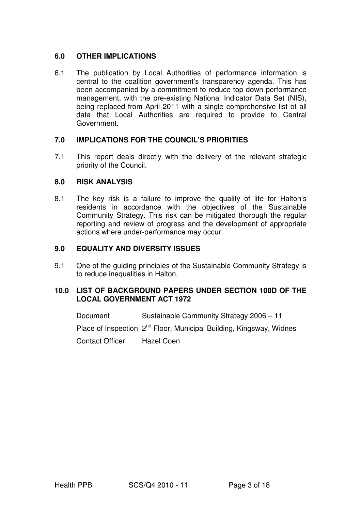#### **6.0 OTHER IMPLICATIONS**

6.1 The publication by Local Authorities of performance information is central to the coalition government's transparency agenda. This has been accompanied by a commitment to reduce top down performance management, with the pre-existing National Indicator Data Set (NIS), being replaced from April 2011 with a single comprehensive list of all data that Local Authorities are required to provide to Central Government.

#### **7.0 IMPLICATIONS FOR THE COUNCIL'S PRIORITIES**

7.1 This report deals directly with the delivery of the relevant strategic priority of the Council.

#### **8.0 RISK ANALYSIS**

8.1 The key risk is a failure to improve the quality of life for Halton's residents in accordance with the objectives of the Sustainable Community Strategy. This risk can be mitigated thorough the regular reporting and review of progress and the development of appropriate actions where under-performance may occur.

#### **9.0 EQUALITY AND DIVERSITY ISSUES**

9.1 One of the quiding principles of the Sustainable Community Strategy is to reduce inequalities in Halton.

#### **10.0 LIST OF BACKGROUND PAPERS UNDER SECTION 100D OF THE LOCAL GOVERNMENT ACT 1972**

Document Sustainable Community Strategy 2006 – 11

Place of Inspection 2<sup>nd</sup> Floor, Municipal Building, Kingsway, Widnes

Contact Officer Hazel Coen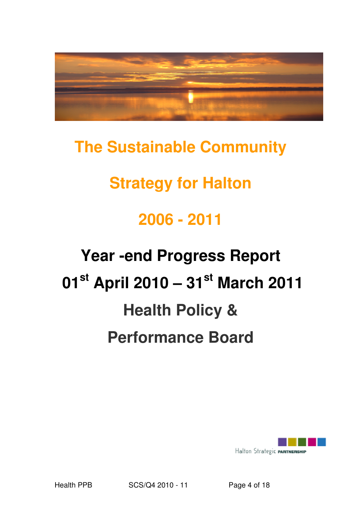

## **The Sustainable Community**

# **Strategy for Halton**

# **2006 - 2011**

# **Year -end Progress Report 01st April 2010 – 31st March 2011 Health Policy & Performance Board**

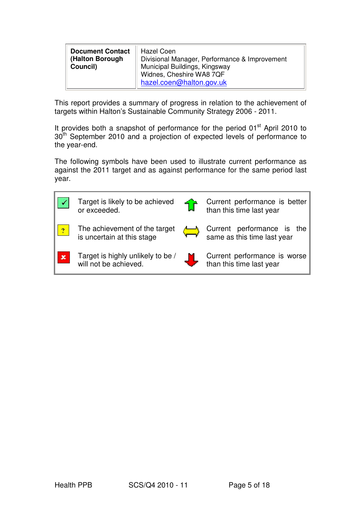| <b>Document Contact</b><br>(Halton Borough<br>Council) | Hazel Coen<br>Divisional Manager, Performance & Improvement<br>Municipal Buildings, Kingsway<br>Widnes, Cheshire WA8 7QF |
|--------------------------------------------------------|--------------------------------------------------------------------------------------------------------------------------|
|                                                        | hazel.coen@halton.gov.uk                                                                                                 |

This report provides a summary of progress in relation to the achievement of targets within Halton's Sustainable Community Strategy 2006 - 2011.

It provides both a snapshot of performance for the period 01<sup>st</sup> April 2010 to 30<sup>th</sup> September 2010 and a projection of expected levels of performance to the year-end.

The following symbols have been used to illustrate current performance as against the 2011 target and as against performance for the same period last year.

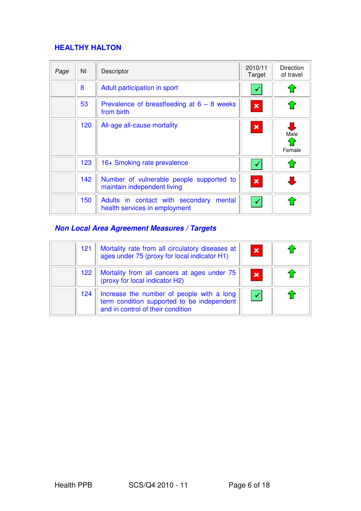## **HEALTHY HALTON**

| Page | NI  | Descriptor                                                                  | 2010/11<br>Target | <b>Direction</b><br>of travel |
|------|-----|-----------------------------------------------------------------------------|-------------------|-------------------------------|
|      | 8   | Adult participation in sport                                                |                   | û                             |
|      | 53  | Prevalence of breastfeeding at $6 - 8$ weeks<br>from birth                  | $\pmb{\times}$    | $\hat{\mathbf{u}}$            |
|      | 120 | All-age all-cause mortality                                                 | $\pmb{\times}$    | Male<br>f<br>Female           |
|      | 123 | 16+ Smoking rate prevalence                                                 |                   | 1                             |
|      | 142 | Number of vulnerable people supported to<br>maintain independent living     | $\mathbf x$       |                               |
|      | 150 | Adults in contact with secondary<br>mental<br>health services in employment |                   |                               |

## **Non Local Area Agreement Measures / Targets**

| 121 | Mortality rate from all circulatory diseases at<br>ages under 75 (proxy for local indicator H1)                              | $\mathbf x$ |  |
|-----|------------------------------------------------------------------------------------------------------------------------------|-------------|--|
| 122 | Mortality from all cancers at ages under 75<br>(proxy for local indicator H2)                                                | $\mathbf x$ |  |
| 124 | Increase the number of people with a long<br>term condition supported to be independent<br>and in control of their condition |             |  |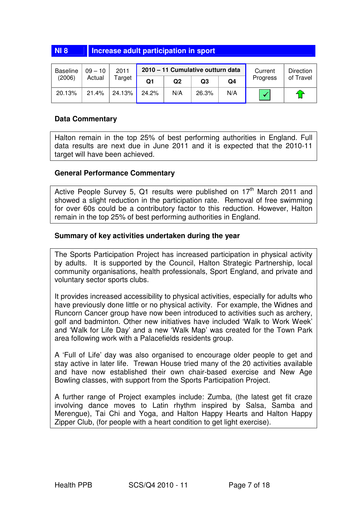#### **NI 8** Increase adult participation in sport

| <b>Baseline</b> | $09 - 10$ | 2011   |       |     |       | 2010 - 11 Cumulative outturn data<br>Current |          | Direction |
|-----------------|-----------|--------|-------|-----|-------|----------------------------------------------|----------|-----------|
| (2006)          | Actual    | Гarget | Q1    | Q2  | Q3    | Q4                                           | Progress | of Travel |
| 20.13%          | 21.4%     | 24.13% | 24.2% | N/A | 26.3% | N/A                                          |          | -40       |

#### **Data Commentary**

Halton remain in the top 25% of best performing authorities in England. Full data results are next due in June 2011 and it is expected that the 2010-11 target will have been achieved.

#### **General Performance Commentary**

Active People Survey 5, Q1 results were published on  $17<sup>th</sup>$  March 2011 and showed a slight reduction in the participation rate. Removal of free swimming for over 60s could be a contributory factor to this reduction. However, Halton remain in the top 25% of best performing authorities in England.

#### **Summary of key activities undertaken during the year**

The Sports Participation Project has increased participation in physical activity by adults. It is supported by the Council, Halton Strategic Partnership, local community organisations, health professionals, Sport England, and private and voluntary sector sports clubs.

It provides increased accessibility to physical activities, especially for adults who have previously done little or no physical activity. For example, the Widnes and Runcorn Cancer group have now been introduced to activities such as archery, golf and badminton. Other new initiatives have included 'Walk to Work Week' and 'Walk for Life Day' and a new 'Walk Map' was created for the Town Park area following work with a Palacefields residents group.

A 'Full of Life' day was also organised to encourage older people to get and stay active in later life. Trewan House tried many of the 20 activities available and have now established their own chair-based exercise and New Age Bowling classes, with support from the Sports Participation Project.

A further range of Project examples include: Zumba, (the latest get fit craze involving dance moves to Latin rhythm inspired by Salsa, Samba and Merengue), Tai Chi and Yoga, and Halton Happy Hearts and Halton Happy Zipper Club, (for people with a heart condition to get light exercise).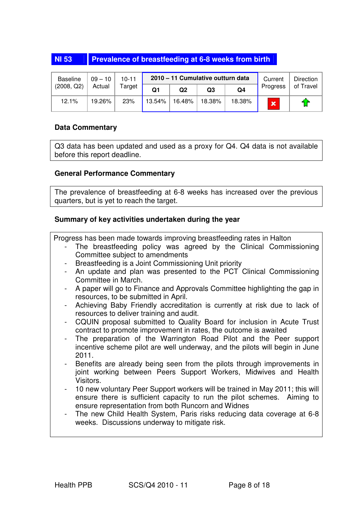#### **NI 53 Prevalence of breastfeeding at 6-8 weeks from birth**

| Baseline   | $09 - 10$ | $10 - 11$ |        | 2010 - 11 Cumulative outturn data | Current        | Direction |             |           |
|------------|-----------|-----------|--------|-----------------------------------|----------------|-----------|-------------|-----------|
| (2008, Q2) | Actual    | Target    | Q1     | Q2                                | Q <sub>3</sub> | Q4        | Progress    | of Travel |
| 12.1%      | 19.26%    | 23%       | 13.54% | 16.48%                            | 18.38%         | 18.38%    | $\mathbf x$ | fr        |

#### **Data Commentary**

Q3 data has been updated and used as a proxy for Q4. Q4 data is not available before this report deadline.

#### **General Performance Commentary**

The prevalence of breastfeeding at 6-8 weeks has increased over the previous quarters, but is yet to reach the target.

#### **Summary of key activities undertaken during the year**

Progress has been made towards improving breastfeeding rates in Halton

- The breastfeeding policy was agreed by the Clinical Commissioning Committee subject to amendments
- Breastfeeding is a Joint Commissioning Unit priority
- An update and plan was presented to the PCT Clinical Commissioning Committee in March.
- A paper will go to Finance and Approvals Committee highlighting the gap in resources, to be submitted in April.
- Achieving Baby Friendly accreditation is currently at risk due to lack of resources to deliver training and audit.
- CQUIN proposal submitted to Quality Board for inclusion in Acute Trust contract to promote improvement in rates, the outcome is awaited
- The preparation of the Warrington Road Pilot and the Peer support incentive scheme pilot are well underway, and the pilots will begin in June 2011.
- Benefits are already being seen from the pilots through improvements in joint working between Peers Support Workers, Midwives and Health Visitors.
- 10 new voluntary Peer Support workers will be trained in May 2011; this will ensure there is sufficient capacity to run the pilot schemes. Aiming to ensure representation from both Runcorn and Widnes
- The new Child Health System, Paris risks reducing data coverage at 6-8 weeks. Discussions underway to mitigate risk.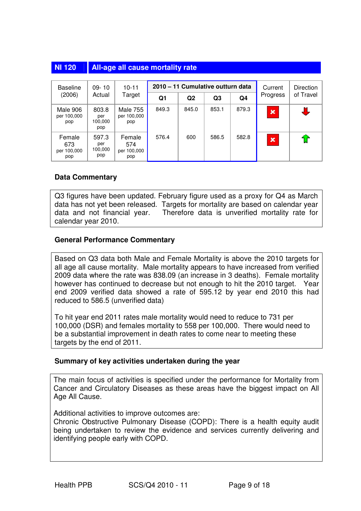| <b>NI 120</b> | <b>All-age all cause mortality rate</b> |
|---------------|-----------------------------------------|
|---------------|-----------------------------------------|

| <b>Baseline</b>                     | $09 - 10$                      |                                       |       | 2010 – 11 Cumulative outturn data | Current        | Direction |                         |           |
|-------------------------------------|--------------------------------|---------------------------------------|-------|-----------------------------------|----------------|-----------|-------------------------|-----------|
| (2006)                              | Actual                         | Target                                | Q1    | Q <sub>2</sub>                    | Q <sub>3</sub> | Q4        | Progress                | of Travel |
| Male 906<br>per 100,000<br>pop      | 803.8<br>per<br>100.000<br>pop | <b>Male 755</b><br>per 100,000<br>pop | 849.3 | 845.0                             | 853.1          | 879.3     | $\overline{\mathbf{x}}$ | 丁         |
| Female<br>673<br>per 100,000<br>pop | 597.3<br>per<br>100,000<br>pop | Female<br>574<br>per 100,000<br>pop   | 576.4 | 600                               | 586.5          | 582.8     | $\mathbf x$             | ਸ਼ਿ       |

#### **Data Commentary**

Q3 figures have been updated. February figure used as a proxy for Q4 as March data has not yet been released. Targets for mortality are based on calendar year data and not financial year. Therefore data is unverified mortality rate for calendar year 2010.

#### **General Performance Commentary**

Based on Q3 data both Male and Female Mortality is above the 2010 targets for all age all cause mortality. Male mortality appears to have increased from verified 2009 data where the rate was 838.09 (an increase in 3 deaths). Female mortality however has continued to decrease but not enough to hit the 2010 target. Year end 2009 verified data showed a rate of 595.12 by year end 2010 this had reduced to 586.5 (unverified data)

To hit year end 2011 rates male mortality would need to reduce to 731 per 100,000 (DSR) and females mortality to 558 per 100,000. There would need to be a substantial improvement in death rates to come near to meeting these targets by the end of 2011.

#### **Summary of key activities undertaken during the year**

The main focus of activities is specified under the performance for Mortality from Cancer and Circulatory Diseases as these areas have the biggest impact on All Age All Cause.

Additional activities to improve outcomes are:

Chronic Obstructive Pulmonary Disease (COPD): There is a health equity audit being undertaken to review the evidence and services currently delivering and identifying people early with COPD.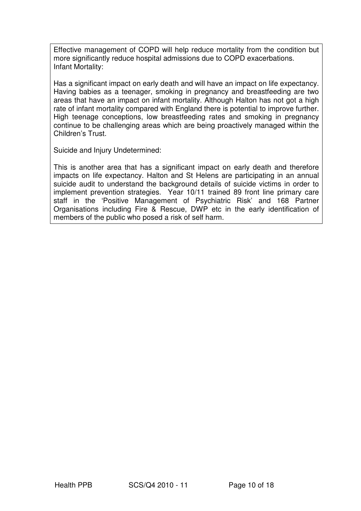Effective management of COPD will help reduce mortality from the condition but more significantly reduce hospital admissions due to COPD exacerbations. Infant Mortality:

Has a significant impact on early death and will have an impact on life expectancy. Having babies as a teenager, smoking in pregnancy and breastfeeding are two areas that have an impact on infant mortality. Although Halton has not got a high rate of infant mortality compared with England there is potential to improve further. High teenage conceptions, low breastfeeding rates and smoking in pregnancy continue to be challenging areas which are being proactively managed within the Children's Trust.

Suicide and Injury Undetermined:

This is another area that has a significant impact on early death and therefore impacts on life expectancy. Halton and St Helens are participating in an annual suicide audit to understand the background details of suicide victims in order to implement prevention strategies. Year 10/11 trained 89 front line primary care staff in the 'Positive Management of Psychiatric Risk' and 168 Partner Organisations including Fire & Rescue, DWP etc in the early identification of members of the public who posed a risk of self harm.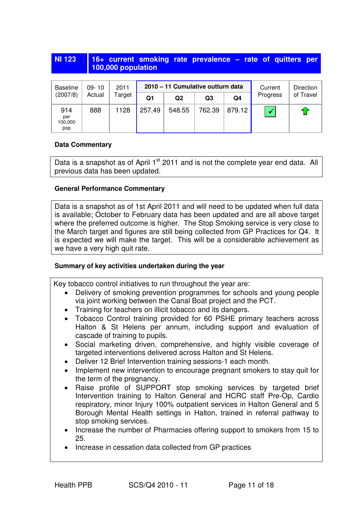#### **NI 123 16+ current smoking rate prevalence – rate of quitters per 100,000 population**

| Baseline                     | $09 - 10$ | 2011   |        | 2010 - 11 Cumulative outturn data |        | Current | Direction |           |
|------------------------------|-----------|--------|--------|-----------------------------------|--------|---------|-----------|-----------|
| (2007/8)                     | Actual    | Target | Q1     | Q2                                | Q3     | Q4      | Progress  | of Travel |
| 914<br>per<br>100,000<br>pop | 888       | 1128   | 257.49 | 548.55                            | 762.39 | 879.12  |           | €         |

#### **Data Commentary**

Data is a snapshot as of April 1<sup>st</sup> 2011 and is not the complete year end data. All previous data has been updated.

#### **General Performance Commentary**

Data is a snapshot as of 1st April 2011 and will need to be updated when full data is available; October to February data has been updated and are all above target where the preferred outcome is higher. The Stop Smoking service is very close to the March target and figures are still being collected from GP Practices for Q4. It is expected we will make the target. This will be a considerable achievement as we have a very high quit rate.

#### **Summary of key activities undertaken during the year**

Key tobacco control initiatives to run throughout the year are:

- Delivery of smoking prevention programmes for schools and young people via joint working between the Canal Boat project and the PCT.
- Training for teachers on illicit tobacco and its dangers.
- Tobacco Control training provided for 60 PSHE primary teachers across Halton & St Helens per annum, including support and evaluation of cascade of training to pupils.
- Social marketing driven, comprehensive, and highly visible coverage of targeted interventions delivered across Halton and St Helens.
- Deliver 12 Brief Intervention training sessions-1 each month.
- Implement new intervention to encourage pregnant smokers to stay quit for the term of the pregnancy.
- Raise profile of SUPPORT stop smoking services by targeted brief Intervention training to Halton General and HCRC staff Pre-Op, Cardio respiratory, minor Injury 100% outpatient services in Halton General and 5 Borough Mental Health settings in Halton, trained in referral pathway to stop smoking services.
- Increase the number of Pharmacies offering support to smokers from 15 to 25.
- Increase in cessation data collected from GP practices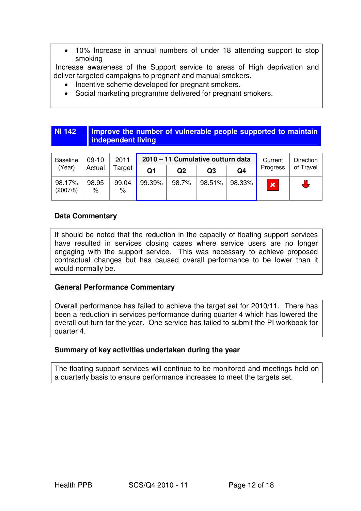• 10% Increase in annual numbers of under 18 attending support to stop smoking

 Increase awareness of the Support service to areas of High deprivation and deliver targeted campaigns to pregnant and manual smokers.

- Incentive scheme developed for pregnant smokers.
- Social marketing programme delivered for pregnant smokers.

#### **NI 142 Improve the number of vulnerable people supported to maintain independent living**

| <b>Baseline</b>    | $09-10$       | 2011          |        |       | 2010 - 11 Cumulative outturn data |                | Current      | Direction |
|--------------------|---------------|---------------|--------|-------|-----------------------------------|----------------|--------------|-----------|
| (Year)             | Actual        | Target        | Q1     | Q2    | Q3                                | Q <sub>4</sub> | Progress     | of Travel |
| 98.17%<br>(2007/8) | 98.95<br>$\%$ | 99.04<br>$\%$ | 99.39% | 98.7% | 98.51%                            | 98.33%         | $\mathbf{x}$ |           |

#### **Data Commentary**

It should be noted that the reduction in the capacity of floating support services have resulted in services closing cases where service users are no longer engaging with the support service. This was necessary to achieve proposed contractual changes but has caused overall performance to be lower than it would normally be.

#### **General Performance Commentary**

Overall performance has failed to achieve the target set for 2010/11. There has been a reduction in services performance during quarter 4 which has lowered the overall out-turn for the year. One service has failed to submit the PI workbook for quarter 4.

#### **Summary of key activities undertaken during the year**

The floating support services will continue to be monitored and meetings held on a quarterly basis to ensure performance increases to meet the targets set.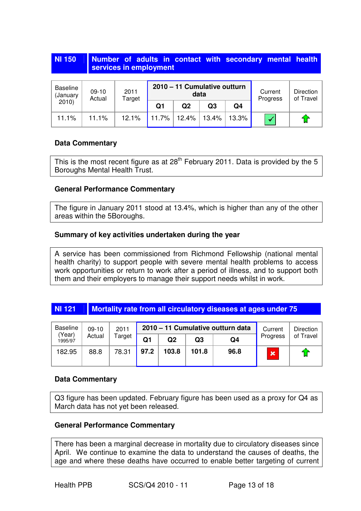#### **NI 150 | Number of adults in contact with secondary mental health services in employment**

| Baseline<br>(January | $09-10$<br>Actual | 2011<br>Target |       | 2010 - 11 Cumulative outturn<br>data |       |       | Current<br>Progress | Direction<br>of Travel |
|----------------------|-------------------|----------------|-------|--------------------------------------|-------|-------|---------------------|------------------------|
| 2010                 |                   |                | Q1    | Q2                                   | Q3    | Q4    |                     |                        |
| 11.1%                | 11.1%             | 12.1%          | 11.7% | 12.4%                                | 13.4% | 13.3% |                     | -17                    |

#### **Data Commentary**

This is the most recent figure as at  $28<sup>th</sup>$  February 2011. Data is provided by the 5 Boroughs Mental Health Trust.

#### **General Performance Commentary**

The figure in January 2011 stood at 13.4%, which is higher than any of the other areas within the 5Boroughs.

#### **Summary of key activities undertaken during the year**

A service has been commissioned from Richmond Fellowship (national mental health charity) to support people with severe mental health problems to access work opportunities or return to work after a period of illness, and to support both them and their employers to manage their support needs whilst in work.

#### **NI 121 Mortality rate from all circulatory diseases at ages under 75**

| <b>Baseline</b>   | $09-10$          | 2011  | 2010 - 11 Cumulative outturn data |       |       |      | Current     | Direction          |
|-------------------|------------------|-------|-----------------------------------|-------|-------|------|-------------|--------------------|
| (Year)<br>1995/97 | Actual<br>Target |       | Q1                                | Q2    | Q3    | Q4   | Progress    | of Travel          |
| 182.95            | 88.8             | 78.31 | 97.2                              | 103.8 | 101.8 | 96.8 | $\mathbf x$ | $\mathbf{\hat{u}}$ |

#### **Data Commentary**

Q3 figure has been updated. February figure has been used as a proxy for Q4 as March data has not yet been released.

#### **General Performance Commentary**

There has been a marginal decrease in mortality due to circulatory diseases since April. We continue to examine the data to understand the causes of deaths, the age and where these deaths have occurred to enable better targeting of current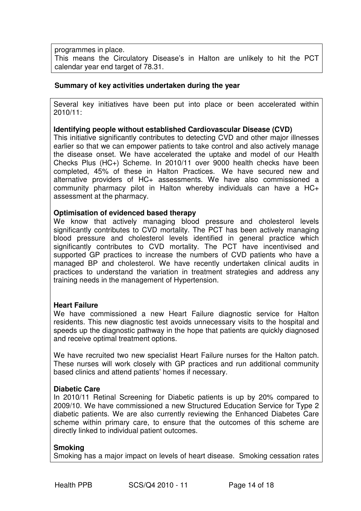programmes in place.

This means the Circulatory Disease's in Halton are unlikely to hit the PCT calendar year end target of 78.31.

#### **Summary of key activities undertaken during the year**

Several key initiatives have been put into place or been accelerated within 2010/11:

#### **Identifying people without established Cardiovascular Disease (CVD)**

This initiative significantly contributes to detecting CVD and other major illnesses earlier so that we can empower patients to take control and also actively manage the disease onset. We have accelerated the uptake and model of our Health Checks Plus (HC+) Scheme. In 2010/11 over 9000 health checks have been completed, 45% of these in Halton Practices. We have secured new and alternative providers of HC+ assessments. We have also commissioned a community pharmacy pilot in Halton whereby individuals can have a HC+ assessment at the pharmacy.

#### **Optimisation of evidenced based therapy**

We know that actively managing blood pressure and cholesterol levels significantly contributes to CVD mortality. The PCT has been actively managing blood pressure and cholesterol levels identified in general practice which significantly contributes to CVD mortality. The PCT have incentivised and supported GP practices to increase the numbers of CVD patients who have a managed BP and cholesterol. We have recently undertaken clinical audits in practices to understand the variation in treatment strategies and address any training needs in the management of Hypertension.

#### **Heart Failure**

We have commissioned a new Heart Failure diagnostic service for Halton residents. This new diagnostic test avoids unnecessary visits to the hospital and speeds up the diagnostic pathway in the hope that patients are quickly diagnosed and receive optimal treatment options.

We have recruited two new specialist Heart Failure nurses for the Halton patch. These nurses will work closely with GP practices and run additional community based clinics and attend patients' homes if necessary.

#### **Diabetic Care**

In 2010/11 Retinal Screening for Diabetic patients is up by 20% compared to 2009/10. We have commissioned a new Structured Education Service for Type 2 diabetic patients. We are also currently reviewing the Enhanced Diabetes Care scheme within primary care, to ensure that the outcomes of this scheme are directly linked to individual patient outcomes.

#### **Smoking**

Smoking has a major impact on levels of heart disease. Smoking cessation rates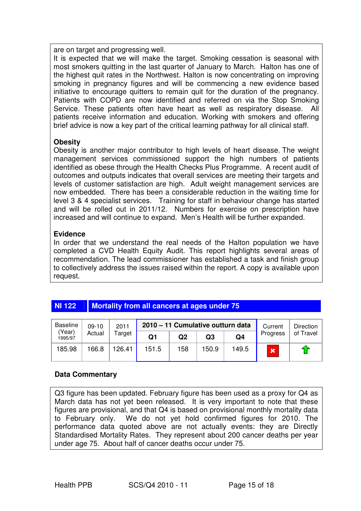are on target and progressing well.

It is expected that we will make the target. Smoking cessation is seasonal with most smokers quitting in the last quarter of January to March. Halton has one of the highest quit rates in the Northwest. Halton is now concentrating on improving smoking in pregnancy figures and will be commencing a new evidence based initiative to encourage quitters to remain quit for the duration of the pregnancy. Patients with COPD are now identified and referred on via the Stop Smoking Service. These patients often have heart as well as respiratory disease. All patients receive information and education. Working with smokers and offering brief advice is now a key part of the critical learning pathway for all clinical staff.

#### **Obesity**

Obesity is another major contributor to high levels of heart disease. The weight management services commissioned support the high numbers of patients identified as obese through the Health Checks Plus Programme. A recent audit of outcomes and outputs indicates that overall services are meeting their targets and levels of customer satisfaction are high. Adult weight management services are now embedded. There has been a considerable reduction in the waiting time for level 3 & 4 specialist services. Training for staff in behaviour change has started and will be rolled out in 2011/12. Numbers for exercise on prescription have increased and will continue to expand. Men's Health will be further expanded.

#### **Evidence**

In order that we understand the real needs of the Halton population we have completed a CVD Health Equity Audit. This report highlights several areas of recommendation. The lead commissioner has established a task and finish group to collectively address the issues raised within the report. A copy is available upon request.

## **NI 122 Mortality from all cancers at ages under 75**

| <b>Baseline</b><br>(Year)<br>1995/97 | $09-10$<br>Actual | 2011<br>Target | 2010 - 11 Cumulative outturn data |     |       |       | Current  | Direction |
|--------------------------------------|-------------------|----------------|-----------------------------------|-----|-------|-------|----------|-----------|
|                                      |                   |                | Q1                                | Q2  | Q3    | Q4    | Progress | of Travel |
| 185.98                               | 166.8             | 126.41         | 151.5                             | 158 | 150.9 | 149.5 | x        | - 1       |

#### **Data Commentary**

Q3 figure has been updated. February figure has been used as a proxy for Q4 as March data has not yet been released. It is very important to note that these figures are provisional, and that Q4 is based on provisional monthly mortality data to February only. We do not yet hold confirmed figures for 2010. The performance data quoted above are not actually events: they are Directly Standardised Mortality Rates. They represent about 200 cancer deaths per year under age 75. About half of cancer deaths occur under 75.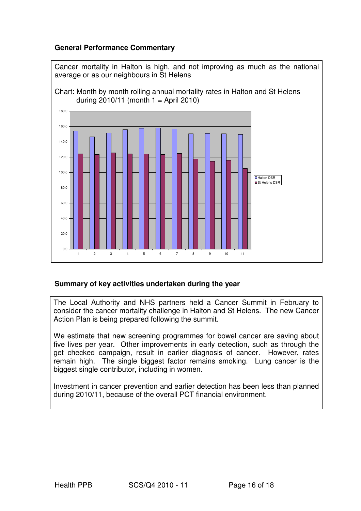#### **General Performance Commentary**



#### **Summary of key activities undertaken during the year**

The Local Authority and NHS partners held a Cancer Summit in February to consider the cancer mortality challenge in Halton and St Helens. The new Cancer Action Plan is being prepared following the summit.

We estimate that new screening programmes for bowel cancer are saving about five lives per year. Other improvements in early detection, such as through the get checked campaign, result in earlier diagnosis of cancer. However, rates remain high. The single biggest factor remains smoking. Lung cancer is the biggest single contributor, including in women.

Investment in cancer prevention and earlier detection has been less than planned during 2010/11, because of the overall PCT financial environment.